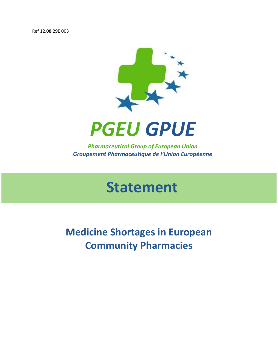Ref 12.08.29E 003





*Pharmaceutical Group of European Union Groupement Pharmaceutique de l'Union Européenne*

# **Statement**

**Medicine Shortages in European Community Pharmacies**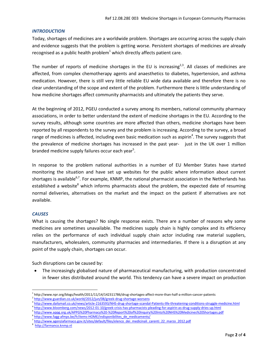#### *INTRODUCTION*

Today, shortages of medicines are a worldwide problem. Shortages are occurring across the supply chain and evidence suggests that the problem is getting worse. Persistent shortages of medicines are already recognised as a public health problem $<sup>1</sup>$  which directly affects patient care.</sup>

The number of reports of medicine shortages in the EU is increasing<sup>2,3</sup>. All classes of medicines are affected, from complex chemotherapy agents and anaesthetics to diabetes, hypertension, and asthma medication. However, there is still very little reliable EU wide data available and therefore there is no clear understanding of the scope and extent of the problem. Furthermore there is little understanding of how medicine shortages affect community pharmacists and ultimately the patients they serve.

At the beginning of 2012, PGEU conducted a survey among its members, national community pharmacy associations, in order to better understand the extent of medicine shortages in the EU. According to the survey results, although some countries are more affected than others, medicine shortages have been reported by all respondents to the survey and the problem is increasing. According to the survey, a broad range of medicines is affected, including even basic medication such as aspirin<sup>4</sup>. The survey suggests that the prevalence of medicine shortages has increased in the past year- just in the UK over 1 million branded medicine supply failures occur each year<sup>5</sup>.

In response to the problem national authorities in a number of EU Member States have started monitoring the situation and have set up websites for the public where information about current shortages is available<sup>6,7</sup>. For example, KNMP, the national pharmacist association in the Netherlands has established a website<sup>8</sup> which informs pharmacists about the problem, the expected date of resuming normal deliveries, alternatives on the market and the impact on the patient if alternatives are not available.

## *CAUSES*

What is causing the shortages? No single response exists. There are a number of reasons why some medicines are sometimes unavailable. The medicines supply chain is highly complex and its efficiency relies on the performance of each individual supply chain actor including raw material suppliers, manufacturers, wholesalers, community pharmacies and intermediaries. If there is a disruption at any point of the supply chain, shortages can occur.

Such disruptions can be caused by:

 The increasingly globalised nature of pharmaceutical manufacturing, with production concentrated in fewer sites distributed around the world. This tendency can have a severe impact on production

- 4 <http://www.bloomberg.com/news/2012-01-10/greek-crisis-has-pharmacists-pleading-for-aspirin-as-drug-supply-dries-up.html>
- 5 <http://www.appg.org.uk/APPG%20Pharmacy%20-%20Report%20of%20Inquiry%20Into%20NHS%20Medicines%20Shortages.pdf>

8 [http://farmanco.knmp.nl](http://farmanco.knmp.nl/)

 $\overline{a}$ 1 http://www.npr.org/blogs/health/2011/11/14/142311786/drug-shortages-affect-more-than-half-a-million-cancer-patients

<sup>2</sup> <http://www.guardian.co.uk/world/2012/jun/08/greek-drug-shortage-worsens>

<sup>3</sup> <http://www.dailymail.co.uk/news/article-2163593/NHS-drug-shortage-scandal-Patients-life-threatening-conditions-struggle-medicine.html>

<sup>6</sup> [http://www.fagg-afmps.be/fr/items-HOME/indisponibilites\\_de\\_medicaments/](http://www.fagg-afmps.be/fr/items-HOME/indisponibilites_de_medicaments/)

<sup>7</sup> [http://www.agenziafarmaco.gov.it/sites/default/files/elenco\\_dei\\_medicinali\\_carenti\\_22\\_marzo\\_2012.pdf](http://www.agenziafarmaco.gov.it/sites/default/files/elenco_dei_medicinali_carenti_22_marzo_2012.pdf)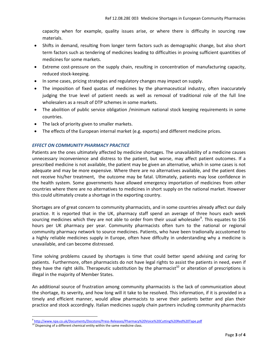capacity when for example, quality issues arise, or where there is difficulty in sourcing raw materials.

- Shifts in demand, resulting from longer term factors such as demographic change, but also short term factors such as tendering of medicines leading to difficulties in proving sufficient quantities of medicines for some markets.
- Extreme cost-pressure on the supply chain, resulting in concentration of manufacturing capacity, reduced stock-keeping.
- In some cases, pricing strategies and regulatory changes may impact on supply.
- The imposition of fixed quotas of medicines by the pharmaceutical industry, often inaccurately judging the true level of patient needs as well as removal of traditional role of the full line wholesalers as a result of DTP schemes in some markets.
- The abolition of public service obligation /minimum national stock keeping requirements in some countries.
- The lack of priority given to smaller markets.
- The effects of the European internal market (e.g. exports) and different medicine prices.

## *EFFECT ON COMMUNITY PHARMACY PRACTICE*

Patients are the ones ultimately affected by medicine shortages. The unavailability of a medicine causes unnecessary inconvenience and distress to the patient, but worse, may affect patient outcomes. If a prescribed medicine is not available, the patient may be given an alternative, which in some cases is not adequate and may be more expensive. Where there are no alternatives available, and the patient does not receive his/her treatment, the outcome may be fatal. Ultimately, patients may lose confidence in the health system. Some governments have allowed emergency importation of medicines from other countries where there are no alternatives to medicines in short supply on the national market. However this could ultimately create a shortage in the exporting country.

Shortages are of great concern to community pharmacists, and in some countries already affect our daily practice. It is reported that in the UK, pharmacy staff spend an average of three hours each week sourcing medicines which they are not able to order from their usual wholesaler<sup>9</sup>. This equates to 156 hours per UK pharmacy per year. Community pharmacists often turn to the national or regional community pharmacy network to source medicines. Patients, who have been tradionally accustomed to a highly reliable medicines supply in Europe, often have diffculty in understanding why a medicine is unavailable, and can become distressed.

Time solving problems caused by shortages is time that could better spend advising and caring for patients. Furthermore, often pharmacists do not have legal rights to assist the patients in need, even if they have the right skills. Therapeutic substitution by the pharmacist<sup>10</sup> or alteration of prescriptions is illegal in the majority of Member States.

An additional source of frustration among community pharmacists is the lack of communication about the shortage, its severity, and how long will it take to be resolved. This information, if it is provided in a timely and efficient manner, would allow pharmacists to serve their patients better and plan their practice and stock accordingly. Italian medicines supply chain partners including community pharmacists

 $\overline{a}$ 

<sup>9</sup> <http://www.npa.co.uk/Documents/Docstore/Press-Releases/Pharmacy%20Voice%20Cutting%20Red%20Tape.pdf>

 $10^{11}$  Dispensing of a different chemical entity within the same medicine class.